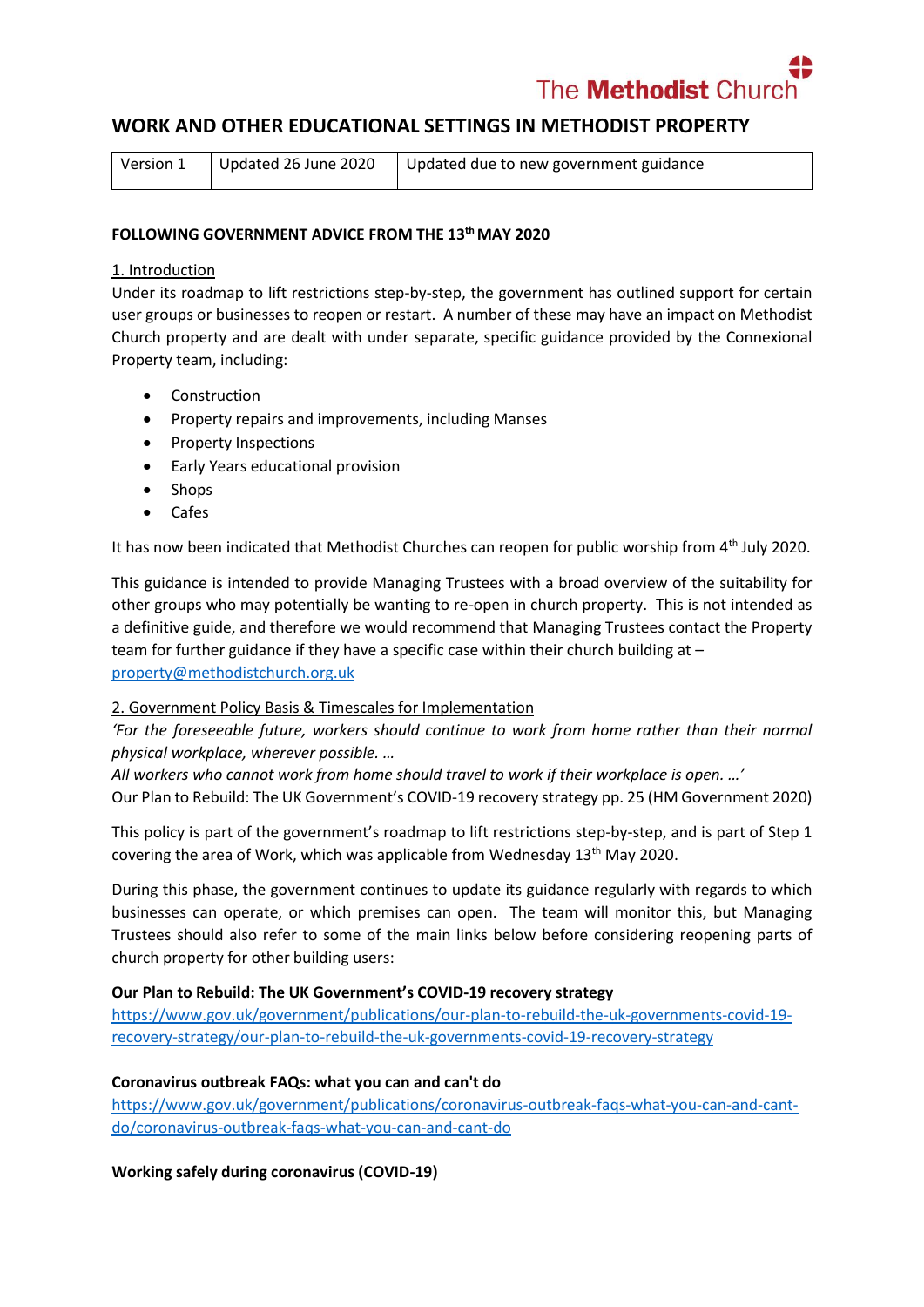The **Methodist** Chui

# **WORK AND OTHER EDUCATIONAL SETTINGS IN METHODIST PROPERTY**

| Version 1 | Updated 26 June 2020 | Updated due to new government guidance |
|-----------|----------------------|----------------------------------------|
|-----------|----------------------|----------------------------------------|

#### **FOLLOWING GOVERNMENT ADVICE FROM THE 13th MAY 2020**

#### 1. Introduction

Under its roadmap to lift restrictions step-by-step, the government has outlined support for certain user groups or businesses to reopen or restart. A number of these may have an impact on Methodist Church property and are dealt with under separate, specific guidance provided by the Connexional Property team, including:

- Construction
- Property repairs and improvements, including Manses
- Property Inspections
- Early Years educational provision
- Shops
- Cafes

It has now been indicated that Methodist Churches can reopen for public worship from  $4<sup>th</sup>$  July 2020.

This guidance is intended to provide Managing Trustees with a broad overview of the suitability for other groups who may potentially be wanting to re-open in church property. This is not intended as a definitive guide, and therefore we would recommend that Managing Trustees contact the Property team for further guidance if they have a specific case within their church building at – [property@methodistchurch.org.uk](mailto:property@methodistchurch.org.uk)

### 2. Government Policy Basis & Timescales for Implementation

*'For the foreseeable future, workers should continue to work from home rather than their normal physical workplace, wherever possible. …*

*All workers who cannot work from home should travel to work if their workplace is open. …'* Our Plan to Rebuild: The UK Government's COVID-19 recovery strategy pp. 25 (HM Government 2020)

This policy is part of the government's roadmap to lift restrictions step-by-step, and is part of Step 1 covering the area of Work, which was applicable from Wednesday 13<sup>th</sup> May 2020.

During this phase, the government continues to update its guidance regularly with regards to which businesses can operate, or which premises can open. The team will monitor this, but Managing Trustees should also refer to some of the main links below before considering reopening parts of church property for other building users:

### **Our Plan to Rebuild: The UK Government's COVID-19 recovery strategy**

[https://www.gov.uk/government/publications/our-plan-to-rebuild-the-uk-governments-covid-19](https://www.gov.uk/government/publications/our-plan-to-rebuild-the-uk-governments-covid-19-recovery-strategy/our-plan-to-rebuild-the-uk-governments-covid-19-recovery-strategy) [recovery-strategy/our-plan-to-rebuild-the-uk-governments-covid-19-recovery-strategy](https://www.gov.uk/government/publications/our-plan-to-rebuild-the-uk-governments-covid-19-recovery-strategy/our-plan-to-rebuild-the-uk-governments-covid-19-recovery-strategy)

#### **Coronavirus outbreak FAQs: what you can and can't do**

[https://www.gov.uk/government/publications/coronavirus-outbreak-faqs-what-you-can-and-cant](https://www.gov.uk/government/publications/coronavirus-outbreak-faqs-what-you-can-and-cant-do/coronavirus-outbreak-faqs-what-you-can-and-cant-do)[do/coronavirus-outbreak-faqs-what-you-can-and-cant-do](https://www.gov.uk/government/publications/coronavirus-outbreak-faqs-what-you-can-and-cant-do/coronavirus-outbreak-faqs-what-you-can-and-cant-do)

**Working safely during coronavirus (COVID-19)**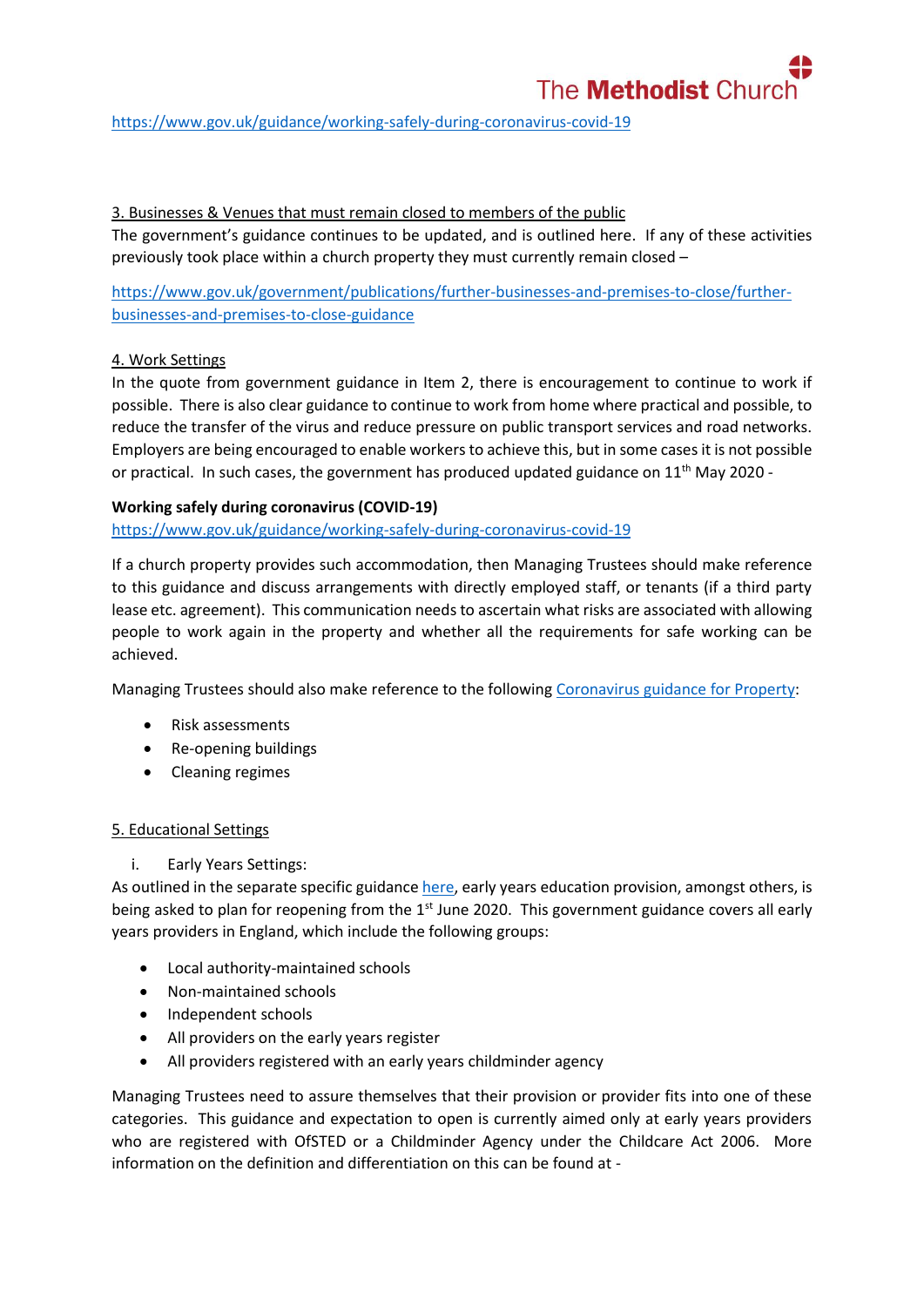

<https://www.gov.uk/guidance/working-safely-during-coronavirus-covid-19>

### 3. Businesses & Venues that must remain closed to members of the public

The government's guidance continues to be updated, and is outlined here. If any of these activities previously took place within a church property they must currently remain closed –

[https://www.gov.uk/government/publications/further-businesses-and-premises-to-close/further](https://www.gov.uk/government/publications/further-businesses-and-premises-to-close/further-businesses-and-premises-to-close-guidance)[businesses-and-premises-to-close-guidance](https://www.gov.uk/government/publications/further-businesses-and-premises-to-close/further-businesses-and-premises-to-close-guidance)

### 4. Work Settings

In the quote from government guidance in Item 2, there is encouragement to continue to work if possible. There is also clear guidance to continue to work from home where practical and possible, to reduce the transfer of the virus and reduce pressure on public transport services and road networks. Employers are being encouraged to enable workers to achieve this, but in some cases it is not possible or practical. In such cases, the government has produced updated guidance on  $11<sup>th</sup>$  May 2020 -

### **Working safely during coronavirus (COVID-19)**

<https://www.gov.uk/guidance/working-safely-during-coronavirus-covid-19>

If a church property provides such accommodation, then Managing Trustees should make reference to this guidance and discuss arrangements with directly employed staff, or tenants (if a third party lease etc. agreement). This communication needs to ascertain what risks are associated with allowing people to work again in the property and whether all the requirements for safe working can be achieved.

Managing Trustees should also make reference to the followin[g Coronavirus](https://www.methodist.org.uk/for-churches/property/coronavirus-guidance-for-property/) guidance for Property:

- Risk assessments
- Re-opening buildings
- Cleaning regimes

### 5. Educational Settings

i. Early Years Settings:

As outlined in the separate specific guidance [here,](https://www.methodist.org.uk/for-churches/property/coronavirus-guidance-for-property/) early years education provision, amongst others, is being asked to plan for reopening from the  $1<sup>st</sup>$  June 2020. This government guidance covers all early years providers in England, which include the following groups:

- Local authority-maintained schools
- Non-maintained schools
- Independent schools
- All providers on the early years register
- All providers registered with an early years childminder agency

Managing Trustees need to assure themselves that their provision or provider fits into one of these categories. This guidance and expectation to open is currently aimed only at early years providers who are registered with OfSTED or a Childminder Agency under the Childcare Act 2006. More information on the definition and differentiation on this can be found at -